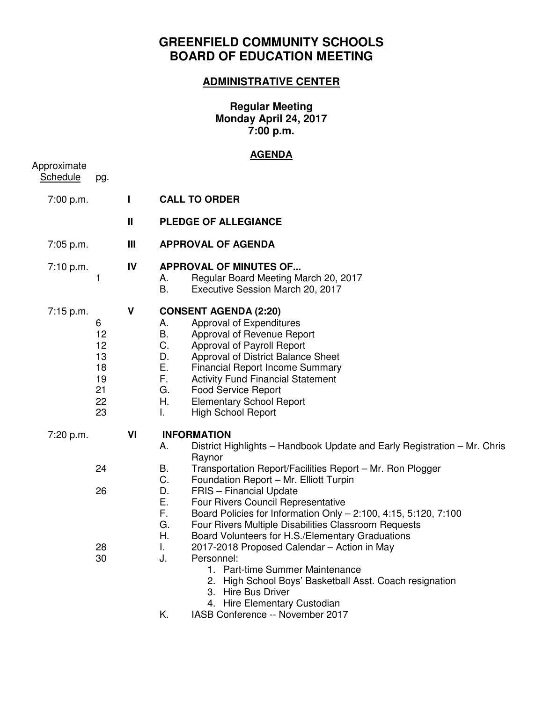## **GREENFIELD COMMUNITY SCHOOLS BOARD OF EDUCATION MEETING**

## **ADMINISTRATIVE CENTER**

**Regular Meeting Monday April 24, 2017 7:00 p.m.** 

## **AGENDA**

| Approximate<br><b>Schedule</b> | pg.                                               |                |                                                                                                                                                                                                                                                                                                                                                                                                                |  |  |
|--------------------------------|---------------------------------------------------|----------------|----------------------------------------------------------------------------------------------------------------------------------------------------------------------------------------------------------------------------------------------------------------------------------------------------------------------------------------------------------------------------------------------------------------|--|--|
| 7:00 p.m.                      |                                                   | Т              | <b>CALL TO ORDER</b>                                                                                                                                                                                                                                                                                                                                                                                           |  |  |
|                                |                                                   | $\mathbf{I}$   | <b>PLEDGE OF ALLEGIANCE</b>                                                                                                                                                                                                                                                                                                                                                                                    |  |  |
| 7:05 p.m.                      |                                                   | $\mathbf{III}$ | <b>APPROVAL OF AGENDA</b>                                                                                                                                                                                                                                                                                                                                                                                      |  |  |
| 7:10 p.m.                      | 1                                                 | IV             | <b>APPROVAL OF MINUTES OF</b><br>Regular Board Meeting March 20, 2017<br>А.<br><b>B.</b><br>Executive Session March 20, 2017                                                                                                                                                                                                                                                                                   |  |  |
| 7:15 p.m.                      | 6<br>12<br>12<br>13<br>18<br>19<br>21<br>22<br>23 | $\mathbf v$    | <b>CONSENT AGENDA (2:20)</b><br>Approval of Expenditures<br>А.<br>B.<br>Approval of Revenue Report<br>C.<br>Approval of Payroll Report<br>D.<br>Approval of District Balance Sheet<br>Е.<br><b>Financial Report Income Summary</b><br>F.<br><b>Activity Fund Financial Statement</b><br>G.<br><b>Food Service Report</b><br>Η.<br><b>Elementary School Report</b><br>$\mathbf{L}$<br><b>High School Report</b> |  |  |
| 7:20 p.m.                      |                                                   | VI             | <b>INFORMATION</b><br>District Highlights - Handbook Update and Early Registration - Mr. Chris<br>Α.<br>Raynor                                                                                                                                                                                                                                                                                                 |  |  |
|                                | 24<br>26                                          |                | В.<br>Transportation Report/Facilities Report - Mr. Ron Plogger<br>C.<br>Foundation Report - Mr. Elliott Turpin<br>D.<br>FRIS - Financial Update<br>Ε.<br>Four Rivers Council Representative<br>F.<br>Board Policies for Information Only - 2:100, 4:15, 5:120, 7:100<br>G.<br>Four Rivers Multiple Disabilities Classroom Requests<br>Η.<br>Board Volunteers for H.S./Elementary Graduations                  |  |  |
|                                | 28<br>30                                          |                | I.<br>2017-2018 Proposed Calendar - Action in May<br>J.<br>Personnel:<br>1. Part-time Summer Maintenance<br>2. High School Boys' Basketball Asst. Coach resignation<br>3. Hire Bus Driver<br>4. Hire Elementary Custodian<br>Κ.<br>IASB Conference -- November 2017                                                                                                                                            |  |  |